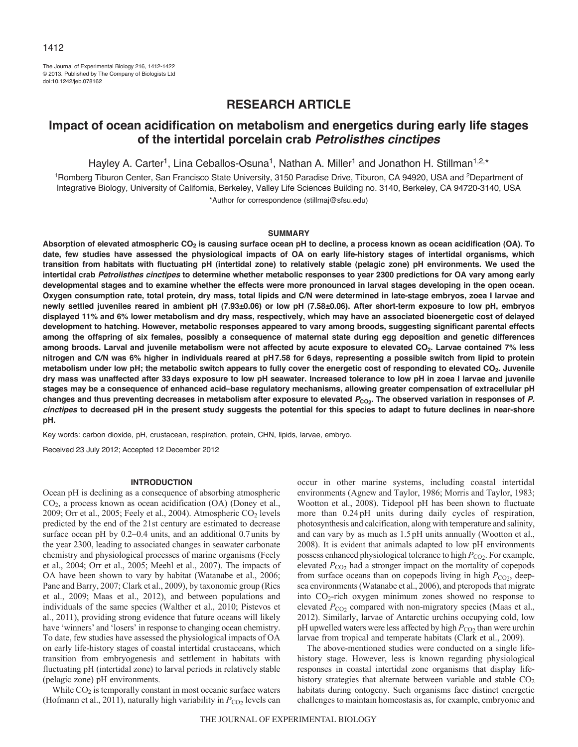The Journal of Experimental Biology 216, 1412-1422 © 2013. Published by The Company of Biologists Ltd doi:10.1242/jeb.078162

# **RESEARCH ARTICLE**

## **Impact of ocean acidification on metabolism and energetics during early life stages of the intertidal porcelain crab** *Petrolisthes cinctipes*

Hayley A. Carter<sup>1</sup>, Lina Ceballos-Osuna<sup>1</sup>, Nathan A. Miller<sup>1</sup> and Jonathon H. Stillman<sup>1,2,\*</sup>

<sup>1</sup>Romberg Tiburon Center, San Francisco State University, 3150 Paradise Drive, Tiburon, CA 94920, USA and <sup>2</sup>Department of Integrative Biology, University of California, Berkeley, Valley Life Sciences Building no. 3140, Berkeley, CA 94720-3140, USA \*Author for correspondence (stillmaj@sfsu.edu)

#### **SUMMARY**

Absorption of elevated atmospheric CO<sub>2</sub> is causing surface ocean pH to decline, a process known as ocean acidification (OA). To **date, few studies have assessed the physiological impacts of OA on early life-history stages of intertidal organisms, which transition from habitats with fluctuating pH (intertidal zone) to relatively stable (pelagic zone) pH environments. We used the intertidal crab** *Petrolisthes cinctipes* **to determine whether metabolic responses to year 2300 predictions for OA vary among early developmental stages and to examine whether the effects were more pronounced in larval stages developing in the open ocean. Oxygen consumption rate, total protein, dry mass, total lipids and C/N were determined in late-stage embryos, zoea I larvae and newly settled juveniles reared in ambient pH (7.93±0.06) or low pH (7.58±0.06). After short-term exposure to low pH, embryos displayed 11% and 6% lower metabolism and dry mass, respectively, which may have an associated bioenergetic cost of delayed development to hatching. However, metabolic responses appeared to vary among broods, suggesting significant parental effects among the offspring of six females, possibly a consequence of maternal state during egg deposition and genetic differences among broods. Larval and juvenile metabolism were not affected by acute exposure to elevated CO2. Larvae contained 7% less nitrogen and C/N was 6% higher in individuals reared at pH7.58 for 6days, representing a possible switch from lipid to protein metabolism under low pH; the metabolic switch appears to fully cover the energetic cost of responding to elevated CO2. Juvenile dry mass was unaffected after 33days exposure to low pH seawater. Increased tolerance to low pH in zoea I larvae and juvenile stages may be a consequence of enhanced acid–base regulatory mechanisms, allowing greater compensation of extracellular pH** changes and thus preventing decreases in metabolism after exposure to elevated  $P_{CO2}$ . The observed variation in responses of P. *cinctipes* **to decreased pH in the present study suggests the potential for this species to adapt to future declines in near-shore pH.**

Key words: carbon dioxide, pH, crustacean, respiration, protein, CHN, lipids, larvae, embryo.

Received 23 July 2012; Accepted 12 December 2012

## **INTRODUCTION**

Ocean pH is declining as a consequence of absorbing atmospheric CO2, a process known as ocean acidification (OA) (Doney et al., 2009; Orr et al., 2005; Feely et al., 2004). Atmospheric  $CO<sub>2</sub>$  levels predicted by the end of the 21st century are estimated to decrease surface ocean pH by 0.2–0.4 units, and an additional 0.7units by the year 2300, leading to associated changes in seawater carbonate chemistry and physiological processes of marine organisms (Feely et al., 2004; Orr et al., 2005; Meehl et al., 2007). The impacts of OA have been shown to vary by habitat (Watanabe et al., 2006; Pane and Barry, 2007; Clark et al., 2009), by taxonomic group (Ries et al., 2009; Maas et al., 2012), and between populations and individuals of the same species (Walther et al., 2010; Pistevos et al., 2011), providing strong evidence that future oceans will likely have 'winners' and 'losers' in response to changing ocean chemistry. To date, few studies have assessed the physiological impacts of OA on early life-history stages of coastal intertidal crustaceans, which transition from embryogenesis and settlement in habitats with fluctuating pH (intertidal zone) to larval periods in relatively stable (pelagic zone) pH environments.

While  $CO<sub>2</sub>$  is temporally constant in most oceanic surface waters (Hofmann et al., 2011), naturally high variability in  $P_{CO_2}$  levels can occur in other marine systems, including coastal intertidal environments (Agnew and Taylor, 1986; Morris and Taylor, 1983; Wootton et al., 2008). Tidepool pH has been shown to fluctuate more than 0.24 pH units during daily cycles of respiration, photosynthesis and calcification, along with temperature and salinity, and can vary by as much as 1.5pH units annually (Wootton et al., 2008). It is evident that animals adapted to low pH environments possess enhanced physiological tolerance to high  $P_{CO_2}$ . For example, elevated *P*<sub>CO2</sub> had a stronger impact on the mortality of copepods from surface oceans than on copepods living in high  $P_{CO_2}$ , deepsea environments (Watanabe et al., 2006), and pteropods that migrate into CO2-rich oxygen minimum zones showed no response to elevated *P*<sub>CO2</sub> compared with non-migratory species (Maas et al., 2012). Similarly, larvae of Antarctic urchins occupying cold, low pH upwelled waters were less affected by high  $P_{CO_2}$  than were urchin larvae from tropical and temperate habitats (Clark et al., 2009).

The above-mentioned studies were conducted on a single lifehistory stage. However, less is known regarding physiological responses in coastal intertidal zone organisms that display lifehistory strategies that alternate between variable and stable  $CO<sub>2</sub>$ habitats during ontogeny. Such organisms face distinct energetic challenges to maintain homeostasis as, for example, embryonic and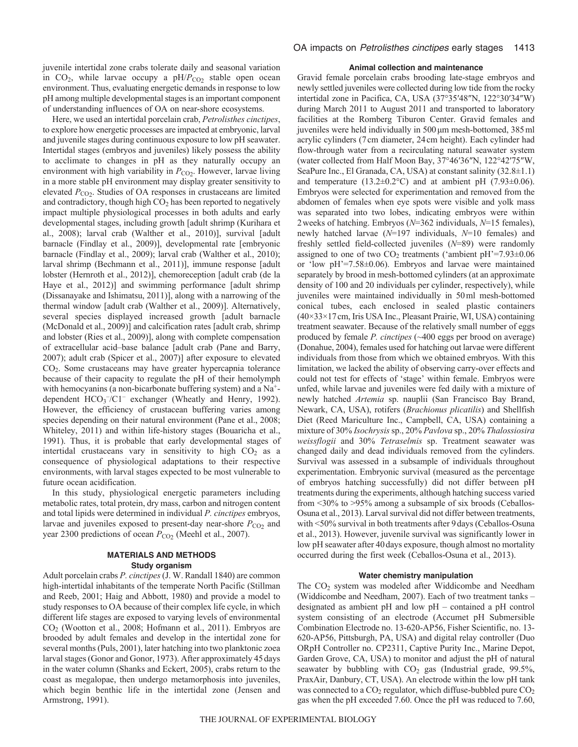juvenile intertidal zone crabs tolerate daily and seasonal variation in CO<sub>2</sub>, while larvae occupy a pH/P<sub>CO2</sub> stable open ocean environment. Thus, evaluating energetic demands in response to low pH among multiple developmental stages is an important component of understanding influences of OA on near-shore ecosystems.

Here, we used an intertidal porcelain crab, *Petrolisthes cinctipes*, to explore how energetic processes are impacted at embryonic, larval and juvenile stages during continuous exposure to low pH seawater. Intertidal stages (embryos and juveniles) likely possess the ability to acclimate to changes in pH as they naturally occupy an environment with high variability in  $P_{CO2}$ . However, larvae living in a more stable pH environment may display greater sensitivity to elevated *P*<sub>CO2</sub>. Studies of OA responses in crustaceans are limited</sub> and contradictory, though high  $CO<sub>2</sub>$  has been reported to negatively impact multiple physiological processes in both adults and early developmental stages, including growth [adult shrimp (Kurihara et al., 2008); larval crab (Walther et al., 2010)], survival [adult barnacle (Findlay et al., 2009)], developmental rate [embryonic barnacle (Findlay et al., 2009); larval crab (Walther et al., 2010); larval shrimp (Bechmann et al., 2011)], immune response [adult lobster (Hernroth et al., 2012)], chemoreception [adult crab (de la Haye et al., 2012)] and swimming performance [adult shrimp (Dissanayake and Ishimatsu, 2011)], along with a narrowing of the thermal window [adult crab (Walther et al., 2009)]. Alternatively, several species displayed increased growth [adult barnacle (McDonald et al., 2009)] and calcification rates [adult crab, shrimp and lobster (Ries et al., 2009)], along with complete compensation of extracellular acid–base balance [adult crab (Pane and Barry, 2007); adult crab (Spicer et al., 2007)] after exposure to elevated CO2. Some crustaceans may have greater hypercapnia tolerance because of their capacity to regulate the pH of their hemolymph with hemocyanins (a non-bicarbonate buffering system) and a  $Na<sup>+</sup>$ dependent HCO<sub>3</sub><sup>-</sup>/C1<sup>-</sup> exchanger (Wheatly and Henry, 1992). However, the efficiency of crustacean buffering varies among species depending on their natural environment (Pane et al., 2008; Whiteley, 2011) and within life-history stages (Bouaricha et al., 1991). Thus, it is probable that early developmental stages of intertidal crustaceans vary in sensitivity to high  $CO<sub>2</sub>$  as a consequence of physiological adaptations to their respective environments, with larval stages expected to be most vulnerable to future ocean acidification.

In this study, physiological energetic parameters including metabolic rates, total protein, dry mass, carbon and nitrogen content and total lipids were determined in individual *P. cinctipes* embryos, larvae and juveniles exposed to present-day near-shore  $P_{CO_2}$  and year 2300 predictions of ocean  $P_{CO_2}$  (Meehl et al., 2007).

## **MATERIALS AND METHODS Study organism**

Adult porcelain crabs *P. cinctipes*(J. W. Randall 1840) are common high-intertidal inhabitants of the temperate North Pacific (Stillman and Reeb, 2001; Haig and Abbott, 1980) and provide a model to study responses to OA because of their complex life cycle, in which different life stages are exposed to varying levels of environmental CO2 (Wootton et al., 2008; Hofmann et al., 2011). Embryos are brooded by adult females and develop in the intertidal zone for several months (Puls, 2001), later hatching into two planktonic zoea larval stages (Gonor and Gonor, 1973). After approximately 45 days in the water column (Shanks and Eckert, 2005), crabs return to the coast as megalopae, then undergo metamorphosis into juveniles, which begin benthic life in the intertidal zone (Jensen and Armstrong, 1991).

## **Animal collection and maintenance**

Gravid female porcelain crabs brooding late-stage embryos and newly settled juveniles were collected during low tide from the rocky intertidal zone in Pacifica, CA, USA (37°35′48″N, 122°30′34″W) during March 2011 to August 2011 and transported to laboratory facilities at the Romberg Tiburon Center. Gravid females and juveniles were held individually in 500μm mesh-bottomed, 385ml acrylic cylinders (7cm diameter, 24cm height). Each cylinder had flow-through water from a recirculating natural seawater system (water collected from Half Moon Bay, 37°46′36″N, 122°42′75″W, SeaPure Inc., El Granada, CA, USA) at constant salinity (32.8±1.1) and temperature  $(13.2\pm0.2^{\circ}\text{C})$  and at ambient pH  $(7.93\pm0.06)$ . Embryos were selected for experimentation and removed from the abdomen of females when eye spots were visible and yolk mass was separated into two lobes, indicating embryos were within 2weeks of hatching. Embryos (*N*=362 individuals, *N*=15 females), newly hatched larvae (*N*=197 individuals, *N*=10 females) and freshly settled field-collected juveniles (*N*=89) were randomly assigned to one of two  $CO<sub>2</sub>$  treatments ('ambient pH'=7.93 $\pm$ 0.06 or 'low pH'=7.58±0.06). Embryos and larvae were maintained separately by brood in mesh-bottomed cylinders (at an approximate density of 100 and 20 individuals per cylinder, respectively), while juveniles were maintained individually in 50ml mesh-bottomed conical tubes, each enclosed in sealed plastic containers (40×33×17cm, Iris USA Inc., Pleasant Prairie, WI, USA) containing treatment seawater. Because of the relatively small number of eggs produced by female *P. cinctipes* (~400 eggs per brood on average) (Donahue, 2004), females used for hatching out larvae were different individuals from those from which we obtained embryos. With this limitation, we lacked the ability of observing carry-over effects and could not test for effects of 'stage' within female. Embryos were unfed, while larvae and juveniles were fed daily with a mixture of newly hatched *Artemia* sp. nauplii (San Francisco Bay Brand, Newark, CA, USA), rotifers (*Brachionus plicatilis*) and Shellfish Diet (Reed Mariculture Inc., Campbell, CA, USA) containing a mixture of 30% *Isochrysis* sp., 20% *Pavlova* sp., 20% *Thalossiosira weissflogii* and 30% *Tetraselmis* sp. Treatment seawater was changed daily and dead individuals removed from the cylinders. Survival was assessed in a subsample of individuals throughout experimentation. Embryonic survival (measured as the percentage of embryos hatching successfully) did not differ between pH treatments during the experiments, although hatching success varied from <30% to >95% among a subsample of six broods (Ceballos-Osuna et al., 2013). Larval survival did not differ between treatments, with <50% survival in both treatments after 9days (Ceballos-Osuna et al., 2013). However, juvenile survival was significantly lower in low pH seawater after 40 days exposure, though almost no mortality occurred during the first week (Ceballos-Osuna et al., 2013).

## **Water chemistry manipulation**

The  $CO<sub>2</sub>$  system was modeled after Widdicombe and Needham (Widdicombe and Needham, 2007). Each of two treatment tanks – designated as ambient pH and low pH – contained a pH control system consisting of an electrode (Accumet pH Submersible Combination Electrode no. 13-620-AP56, Fisher Scientific, no. 13- 620-AP56, Pittsburgh, PA, USA) and digital relay controller (Duo ORpH Controller no. CP2311, Captive Purity Inc., Marine Depot, Garden Grove, CA, USA) to monitor and adjust the pH of natural seawater by bubbling with  $CO<sub>2</sub>$  gas (Industrial grade, 99.5%, PraxAir, Danbury, CT, USA). An electrode within the low pH tank was connected to a  $CO<sub>2</sub>$  regulator, which diffuse-bubbled pure  $CO<sub>2</sub>$ gas when the pH exceeded 7.60. Once the pH was reduced to 7.60,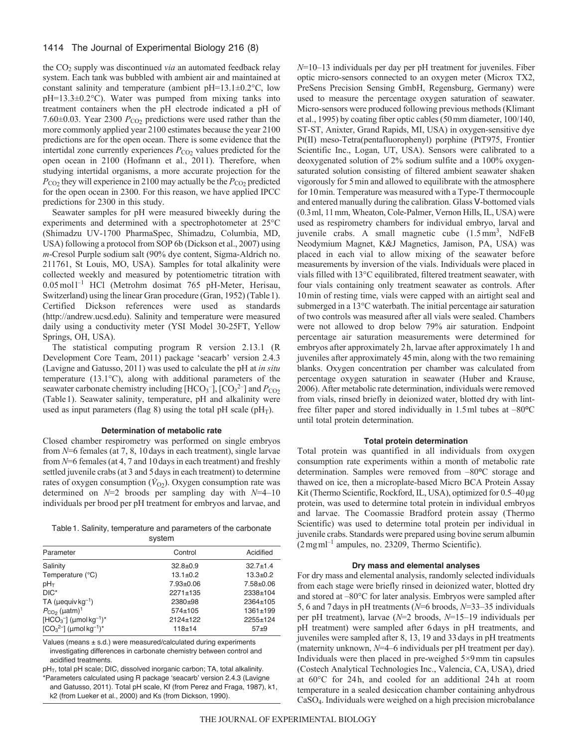the CO2 supply was discontinued *via* an automated feedback relay system. Each tank was bubbled with ambient air and maintained at constant salinity and temperature (ambient pH=13.1±0.2°C, low pH=13.3±0.2°C). Water was pumped from mixing tanks into treatment containers when the pH electrode indicated a pH of 7.60 $\pm$ 0.03. Year 2300  $P_{CO_2}$  predictions were used rather than the more commonly applied year 2100 estimates because the year 2100 predictions are for the open ocean. There is some evidence that the intertidal zone currently experiences  $P_{CO_2}$  values predicted for the open ocean in 2100 (Hofmann et al., 2011). Therefore, when studying intertidal organisms, a more accurate projection for the  $P_{\text{CO}_2}$  they will experience in 2100 may actually be the  $P_{\text{CO}_2}$  predicted for the open ocean in 2300. For this reason, we have applied IPCC predictions for 2300 in this study.

Seawater samples for pH were measured biweekly during the experiments and determined with a spectrophotometer at 25°C (Shimadzu UV-1700 PharmaSpec, Shimadzu, Columbia, MD, USA) following a protocol from SOP 6b (Dickson et al., 2007) using *m*-Cresol Purple sodium salt (90% dye content, Sigma-Aldrich no. 211761, St Louis, MO, USA). Samples for total alkalinity were collected weekly and measured by potentiometric titration with 0.05 mol l<sup>-1</sup> HCl (Metrohm dosimat 765 pH-Meter, Herisau, Switzerland) using the linear Gran procedure (Gran, 1952) (Table1). Certified Dickson references were used as standards (http://andrew.ucsd.edu). Salinity and temperature were measured daily using a conductivity meter (YSI Model 30-25FT, Yellow Springs, OH, USA).

The statistical computing program R version 2.13.1 (R Development Core Team, 2011) package 'seacarb' version 2.4.3 (Lavigne and Gatusso, 2011) was used to calculate the pH at *in situ* temperature (13.1°C), along with additional parameters of the seawater carbonate chemistry including  $[HCO<sub>3</sub><sup>-</sup>], [CO<sub>3</sub><sup>2–</sup>]$  and  $P<sub>CO<sub>2</sub>}</sub>$ (Table1). Seawater salinity, temperature, pH and alkalinity were used as input parameters (flag 8) using the total pH scale ( $pH_T$ ).

## **Determination of metabolic rate**

Closed chamber respirometry was performed on single embryos from *N*=6 females (at 7, 8, 10days in each treatment), single larvae from *N*=6 females (at 4, 7 and 10days in each treatment) and freshly settled juvenile crabs (at 3 and 5days in each treatment) to determine rates of oxygen consumption  $(\dot{V}_{O2})$ . Oxygen consumption rate was determined on *N*=2 broods per sampling day with *N*=4–10 individuals per brood per pH treatment for embryos and larvae, and

Table 1. Salinity, temperature and parameters of the carbonate system

| Control        | Acidified      |
|----------------|----------------|
| $32.8 \pm 0.9$ | $32.7 + 1.4$   |
| $13.1 \pm 0.2$ | $13.3 + 0.2$   |
| $7.93 + 0.06$  | $7.58 + 0.06$  |
| $2271 \pm 135$ | 2338±104       |
| $2380+98$      | $2364 \pm 105$ |
| $574 \pm 105$  | $1361 + 199$   |
| $2124 \pm 122$ | 2255±124       |
| $118 + 14$     | $57+9$         |
|                |                |

Values (means  $\pm$  s.d.) were measured/calculated during experiments investigating differences in carbonate chemistry between control and acidified treatments.

 $pH_T$ , total pH scale; DIC, dissolved inorganic carbon; TA, total alkalinity. \*Parameters calculated using R package ʻseacarb' version 2.4.3 (Lavigne and Gatusso, 2011). Total pH scale, Kf (from Perez and Fraga, 1987), k1, k2 (from Lueker et al., 2000) and Ks (from Dickson, 1990).

*N*=10–13 individuals per day per pH treatment for juveniles. Fiber optic micro-sensors connected to an oxygen meter (Microx TX2, PreSens Precision Sensing GmbH, Regensburg, Germany) were used to measure the percentage oxygen saturation of seawater. Micro-sensors were produced following previous methods (Klimant et al., 1995) by coating fiber optic cables (50mm diameter, 100/140, ST-ST, Anixter, Grand Rapids, MI, USA) in oxygen-sensitive dye Pt(II) meso-Tetra(pentafluorophenyl) porphine (PtT975, Frontier Scientific Inc., Logan, UT, USA). Sensors were calibrated to a deoxygenated solution of 2% sodium sulfite and a 100% oxygensaturated solution consisting of filtered ambient seawater shaken vigorously for 5min and allowed to equilibrate with the atmosphere for 10min. Temperature was measured with a Type-T thermocouple and entered manually during the calibration. Glass V-bottomed vials (0.3ml, 11mm, Wheaton, Cole-Palmer, Vernon Hills, IL, USA) were used as respirometry chambers for individual embryo, larval and juvenile crabs. A small magnetic cube (1.5 mm<sup>3</sup>, NdFeB Neodymium Magnet, K&J Magnetics, Jamison, PA, USA) was placed in each vial to allow mixing of the seawater before measurements by inversion of the vials. Individuals were placed in vials filled with 13°C equilibrated, filtered treatment seawater, with four vials containing only treatment seawater as controls. After 10min of resting time, vials were capped with an airtight seal and submerged in a 13°C waterbath. The initial percentage air saturation of two controls was measured after all vials were sealed. Chambers were not allowed to drop below 79% air saturation. Endpoint percentage air saturation measurements were determined for embryos after approximately 2h, larvae after approximately 1h and juveniles after approximately 45min, along with the two remaining blanks. Oxygen concentration per chamber was calculated from percentage oxygen saturation in seawater (Huber and Krause, 2006). After metabolic rate determination, individuals were removed from vials, rinsed briefly in deionized water, blotted dry with lintfree filter paper and stored individually in 1.5ml tubes at –80**°**C until total protein determination.

## **Total protein determination**

Total protein was quantified in all individuals from oxygen consumption rate experiments within a month of metabolic rate determination. Samples were removed from –80**°**C storage and thawed on ice, then a microplate-based Micro BCA Protein Assay Kit (Thermo Scientific, Rockford, IL, USA), optimized for 0.5–40μg protein, was used to determine total protein in individual embryos and larvae. The Coomassie Bradford protein assay (Thermo Scientific) was used to determine total protein per individual in juvenile crabs. Standards were prepared using bovine serum albumin  $(2 \text{ mg ml}^{-1}$  ampules, no. 23209, Thermo Scientific).

## **Dry mass and elemental analyses**

For dry mass and elemental analysis, randomly selected individuals from each stage were briefly rinsed in deionized water, blotted dry and stored at –80°C for later analysis. Embryos were sampled after 5, 6 and 7days in pH treatments (*N*=6 broods, *N*=33–35 individuals per pH treatment), larvae (*N*=2 broods, *N*=15–19 individuals per pH treatment) were sampled after 6days in pH treatments, and juveniles were sampled after 8, 13, 19 and 33days in pH treatments (maternity unknown, *N*=4–6 individuals per pH treatment per day). Individuals were then placed in pre-weighed 5×9mm tin capsules (Costech Analytical Technologies Inc., Valencia, CA, USA), dried at 60°C for 24 h, and cooled for an additional 24 h at room temperature in a sealed desiccation chamber containing anhydrous CaSO4. Individuals were weighed on a high precision microbalance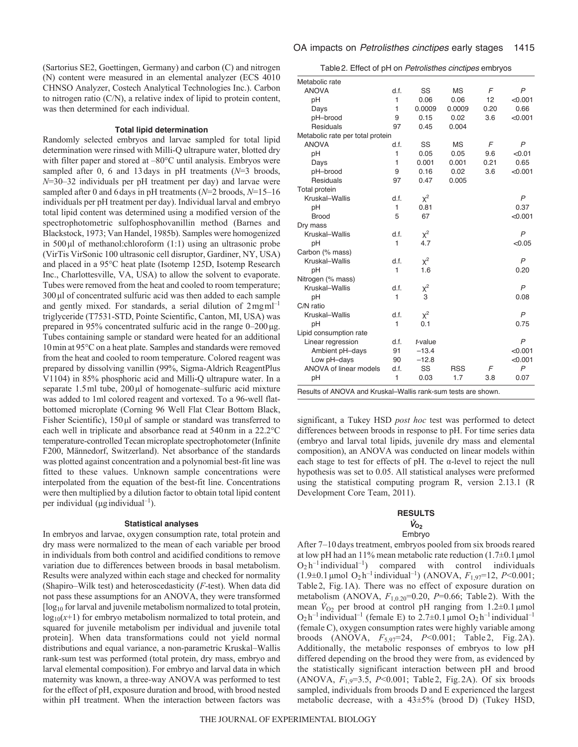(Sartorius SE2, Goettingen, Germany) and carbon (C) and nitrogen (N) content were measured in an elemental analyzer (ECS 4010 CHNSO Analyzer, Costech Analytical Technologies Inc.). Carbon to nitrogen ratio (C/N), a relative index of lipid to protein content, was then determined for each individual.

## **Total lipid determination**

Randomly selected embryos and larvae sampled for total lipid determination were rinsed with Milli-Q ultrapure water, blotted dry with filter paper and stored at –80°C until analysis. Embryos were sampled after 0, 6 and 13days in pH treatments (*N*=3 broods, *N*=30–32 individuals per pH treatment per day) and larvae were sampled after 0 and 6days in pH treatments (*N*=2 broods, *N*=15–16 individuals per pH treatment per day). Individual larval and embryo total lipid content was determined using a modified version of the spectrophotometric sulfophosphovanillin method (Barnes and Blackstock, 1973; Van Handel, 1985b). Samples were homogenized in 500μl of methanol:chloroform (1:1) using an ultrasonic probe (VirTis VirSonic 100 ultrasonic cell disruptor, Gardiner, NY, USA) and placed in a 95°C heat plate (Isotemp 125D, Isotemp Research Inc., Charlottesville, VA, USA) to allow the solvent to evaporate. Tubes were removed from the heat and cooled to room temperature; 300μl of concentrated sulfuric acid was then added to each sample and gently mixed. For standards, a serial dilution of  $2 \text{ mg} \text{m}^{-1}$ triglyceride (T7531-STD, Pointe Scientific, Canton, MI, USA) was prepared in 95% concentrated sulfuric acid in the range 0–200μg. Tubes containing sample or standard were heated for an additional 10min at 95°C on a heat plate. Samples and standards were removed from the heat and cooled to room temperature. Colored reagent was prepared by dissolving vanillin (99%, Sigma-Aldrich ReagentPlus V1104) in 85% phosphoric acid and Milli-Q ultrapure water. In a separate 1.5ml tube, 200μl of homogenate–sulfuric acid mixture was added to 1ml colored reagent and vortexed. To a 96-well flatbottomed microplate (Corning 96 Well Flat Clear Bottom Black, Fisher Scientific), 150μl of sample or standard was transferred to each well in triplicate and absorbance read at 540nm in a 22.2°C temperature-controlled Tecan microplate spectrophotometer (Infinite F200, Männedorf, Switzerland). Net absorbance of the standards was plotted against concentration and a polynomial best-fit line was fitted to these values. Unknown sample concentrations were interpolated from the equation of the best-fit line. Concentrations were then multiplied by a dilution factor to obtain total lipid content per individual ( $\mu$ gindividual<sup>-1</sup>).

#### **Statistical analyses**

In embryos and larvae, oxygen consumption rate, total protein and dry mass were normalized to the mean of each variable per brood in individuals from both control and acidified conditions to remove variation due to differences between broods in basal metabolism. Results were analyzed within each stage and checked for normality (Shapiro–Wilk test) and heteroscedasticity (*F*-test). When data did not pass these assumptions for an ANOVA, they were transformed  $\lceil \log_{10}$  for larval and juvenile metabolism normalized to total protein,  $log_{10}(x+1)$  for embryo metabolism normalized to total protein, and squared for juvenile metabolism per individual and juvenile total protein]. When data transformations could not yield normal distributions and equal variance, a non-parametric Kruskal–Wallis rank-sum test was performed (total protein, dry mass, embryo and larval elemental composition). For embryo and larval data in which maternity was known, a three-way ANOVA was performed to test for the effect of pH, exposure duration and brood, with brood nested within pH treatment. When the interaction between factors was

Table2. Effect of pH on *Petrolisthes cinctipes* embryos

| Metabolic rate                                                |              |         |            |      |                |
|---------------------------------------------------------------|--------------|---------|------------|------|----------------|
| <b>ANOVA</b>                                                  | d.f.         | SS      | <b>MS</b>  | F    | $\mathsf{P}$   |
| рH                                                            | $\mathbf{1}$ | 0.06    | 0.06       | 12   | < 0.001        |
| Days                                                          | 1            | 0.0009  | 0.0009     | 0.20 | 0.66           |
| pH-brood                                                      | 9            | 0.15    | 0.02       | 3.6  | < 0.001        |
| Residuals                                                     | 97           | 0.45    | 0.004      |      |                |
| Metabolic rate per total protein                              |              |         |            |      |                |
| <b>ANOVA</b>                                                  | d.f.         | SS      | <b>MS</b>  | F    | $\mathsf{P}$   |
| pH                                                            | $\mathbf{1}$ | 0.05    | 0.05       | 9.6  | < 0.01         |
| Days                                                          | 1            | 0.001   | 0.001      | 0.21 | 0.65           |
| pH-brood                                                      | 9            | 0.16    | 0.02       | 3.6  | < 0.001        |
| Residuals                                                     | 97           | 0.47    | 0.005      |      |                |
| <b>Total protein</b>                                          |              |         |            |      |                |
| Kruskal-Wallis                                                | d.f.         | $x^2$   |            |      | P              |
| рH                                                            | 1            | 0.81    |            |      | 0.37           |
| <b>Brood</b>                                                  | 5            | 67      |            |      | < 0.001        |
| Dry mass                                                      |              |         |            |      |                |
| Kruskal-Wallis                                                | d.f.         | $x^2$   |            |      | $\mathsf{P}$   |
| pH                                                            | $\mathbf{1}$ | 4.7     |            |      | < 0.05         |
| Carbon (% mass)                                               |              |         |            |      |                |
| Kruskal-Wallis                                                | d.f.         | $x^2$   |            |      | P              |
| pH                                                            | $\mathbf{1}$ | 1.6     |            |      | 0.20           |
| Nitrogen (% mass)                                             |              |         |            |      |                |
| Kruskal-Wallis                                                | d.f.         | $x^2$   |            |      | $\overline{P}$ |
| pH                                                            | $\mathbf{1}$ | 3       |            |      | 0.08           |
| C/N ratio                                                     |              |         |            |      |                |
| Kruskal-Wallis                                                | d.f.         | $x^2$   |            |      | $\mathsf{P}$   |
| pH                                                            | $\mathbf{1}$ | 0.1     |            |      | 0.75           |
| Lipid consumption rate                                        |              |         |            |      |                |
| Linear regression                                             | d.f.         | t-value |            |      | $\overline{P}$ |
| Ambient pH-days                                               | 91           | $-13.4$ |            |      | < 0.001        |
| Low pH-days                                                   | 90           | $-12.8$ |            |      | < 0.001        |
| ANOVA of linear models                                        | d.f.         | SS      | <b>RSS</b> | F    | P              |
| pH                                                            | 1            | 0.03    | 1.7        | 3.8  | 0.07           |
| Results of ANOVA and Kruskal-Wallis rank-sum tests are shown. |              |         |            |      |                |

significant, a Tukey HSD *post hoc* test was performed to detect differences between broods in response to pH. For time series data (embryo and larval total lipids, juvenile dry mass and elemental composition), an ANOVA was conducted on linear models within each stage to test for effects of pH. The α-level to reject the null hypothesis was set to 0.05. All statistical analyses were preformed using the statistical computing program R, version 2.13.1 (R Development Core Team, 2011).

## **RESULTS**  $\dot{V}_{O_2}$

## Embryo

After 7–10 days treatment, embryos pooled from six broods reared at low pH had an 11% mean metabolic rate reduction  $(1.7\pm0.1 \,\text{\mu} \text{mol})$  $O_2 h^{-1}$  individual<sup>-1</sup>) compared with control individuals  $(1.9\pm0.1 \,\mu\text{mol O}_2 h^{-1}$  individual<sup>-1</sup>) (ANOVA,  $F_{1,97}=12$ ,  $P<0.001$ ; Table2, Fig.1A). There was no effect of exposure duration on metabolism (ANOVA, *F*1,0.20=0.20, *P*=0.66; Table 2). With the mean  $\dot{V}_{\text{O}2}$  per brood at control pH ranging from 1.2 $\pm$ 0.1 µmol  $O_2$ h<sup>-1</sup> individual<sup>-1</sup> (female E) to 2.7±0.1 µmol  $O_2$ h<sup>-1</sup> individual<sup>-1</sup> (female C), oxygen consumption rates were highly variable among broods (ANOVA, *F*5,97=24, *P*<0.001; Table 2, Fig. 2A). Additionally, the metabolic responses of embryos to low pH differed depending on the brood they were from, as evidenced by the statistically significant interaction between pH and brood (ANOVA, *F*1,9=3.5, *P*<0.001; Table 2, Fig. 2A). Of six broods sampled, individuals from broods D and E experienced the largest metabolic decrease, with a 43±5% (brood D) (Tukey HSD,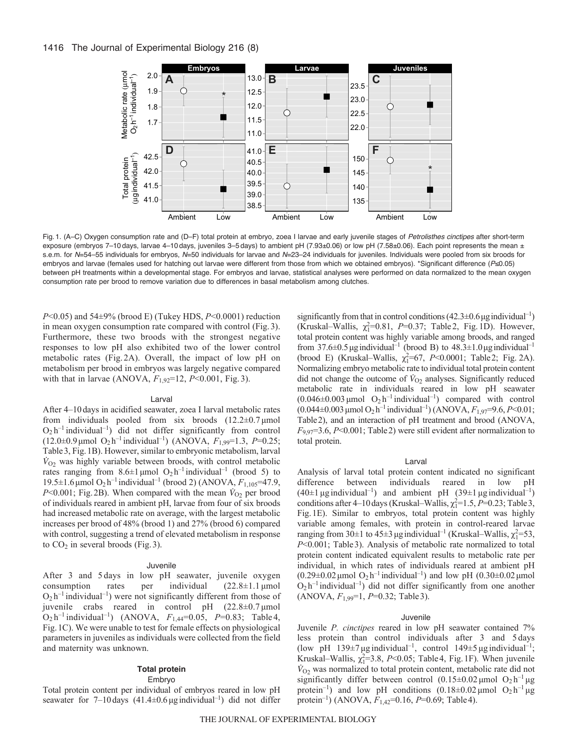

Fig. 1. (A–C) Oxygen consumption rate and (D–F) total protein at embryo, zoea I larvae and early juvenile stages of *Petrolisthes cinctipes* after short-term exposure (embryos 7-10 days, larvae 4-10 days, juveniles 3-5 days) to ambient pH (7.93±0.06) or low pH (7.58±0.06). Each point represents the mean ± s.e.m. for *N*=54–55 individuals for embryos, *N*=50 individuals for larvae and *N*=23–24 individuals for juveniles. Individuals were pooled from six broods for embryos and larvae (females used for hatching out larvae were different from those from which we obtained embryos). \*Significant difference (*P*≤0.05) between pH treatments within a developmental stage. For embryos and larvae, statistical analyses were performed on data normalized to the mean oxygen consumption rate per brood to remove variation due to differences in basal metabolism among clutches.

*P*<0.05) and 54±9% (brood E) (Tukey HDS, *P*<0.0001) reduction in mean oxygen consumption rate compared with control (Fig.3). Furthermore, these two broods with the strongest negative responses to low pH also exhibited two of the lower control metabolic rates (Fig. 2A). Overall, the impact of low pH on metabolism per brood in embryos was largely negative compared with that in larvae (ANOVA, *F*1,92=12, *P*<0.001, Fig. 3).

#### Larval

After 4–10days in acidified seawater, zoea I larval metabolic rates from individuals pooled from six broods (12.2±0.7 μmol  $O_2 h^{-1}$  individual<sup>-1</sup>) did not differ significantly from control  $(12.0\pm0.9 \,\mu\text{mol} \ \text{O}_2 \,\text{h}^{-1} \text{individual}^{-1})$  (ANOVA,  $F_{1,99}$ =1.3, P=0.25; Table3, Fig.1B). However, similar to embryonic metabolism, larval  $\dot{V}_{O_2}$  was highly variable between broods, with control metabolic rates ranging from  $8.6 \pm 1 \,\mu$ mol  $O_2 h^{-1}$  individual<sup>-1</sup> (brood 5) to 19.5±1.6μmol O2 h–1 individual–1 (brood 2) (ANOVA, *F*1,105=47.9,  $P<0.001$ ; Fig. 2B). When compared with the mean  $\dot{V}_{O2}$  per brood of individuals reared in ambient pH, larvae from four of six broods had increased metabolic rate on average, with the largest metabolic increases per brood of 48% (brood 1) and 27% (brood 6) compared with control, suggesting a trend of elevated metabolism in response to  $CO<sub>2</sub>$  in several broods (Fig. 3).

#### Juvenile

After 3 and 5 days in low pH seawater, juvenile oxygen consumption rates per individual (22.8±1.1 μmol  $O_2 h^{-1}$  individual<sup>-1</sup>) were not significantly different from those of juvenile crabs reared in control pH (22.8±0.7 μmol  $O_2$ h<sup>-1</sup> individual<sup>-1</sup>) (ANOVA,  $F_{1,44}$ =0.05, *P*=0.83; Table 4, Fig.1C). We were unable to test for female effects on physiological parameters in juveniles as individuals were collected from the field and maternity was unknown.

## **Total protein**

Embryo

Total protein content per individual of embryos reared in low pH seawater for  $7-10$  days  $(41.4\pm 0.6 \,\mu\text{g}\text{ individual}^{-1})$  did not differ significantly from that in control conditions  $(42.3\pm0.6 \,\mu g \text{ individual}^{-1})$ (Kruskal–Wallis,  $\chi_1^2=0.81$ ,  $P=0.37$ ; Table 2, Fig. 1D). However, total protein content was highly variable among broods, and ranged from 37.6 $\pm$ 0.5 μg individual<sup>-1</sup> (brood B) to 48.3 $\pm$ 1.0 μg individual<sup>-1</sup> (brood E) (Kruskal–Wallis,  $\chi_1^2=67$ , *P*<0.0001; Table2; Fig. 2A). Normalizing embryo metabolic rate to individual total protein content did not change the outcome of  $\dot{V}_{O2}$  analyses. Significantly reduced metabolic rate in individuals reared in low pH seawater  $(0.046\pm0.003 \,\mu\text{mol}$  O<sub>2</sub> h<sup>-1</sup> individual<sup>-1</sup>) compared with control (0.044±0.003μmol O2 h–1 individual–1) (ANOVA, *F*1,97=9.6, *P*<0.01; Table2), and an interaction of pH treatment and brood (ANOVA, *F*9,97=3.6, *P*<0.001; Table2) were still evident after normalization to total protein.

## Larval

Analysis of larval total protein content indicated no significant difference between individuals reared in low pH  $(40\pm1 \,\mu\text{g}\text{ individual}^{-1})$  and ambient pH  $(39\pm1 \,\mu\text{g}\text{ individual}^{-1})$ conditions after 4–10 days (Kruskal–Wallis,  $\chi_1^2$ =1.5, *P*=0.23; Table 3, Fig.1E). Similar to embryos, total protein content was highly variable among females, with protein in control-reared larvae ranging from  $30\pm 1$  to  $45\pm 3$  µg individual<sup>-1</sup> (Kruskal–Wallis,  $\chi_1^2 = 53$ , *P*<0.001; Table3). Analysis of metabolic rate normalized to total protein content indicated equivalent results to metabolic rate per individual, in which rates of individuals reared at ambient pH  $(0.29\pm0.02 \,\mu\text{mol O}_2 h^{-1}$  individual<sup>-1</sup>) and low pH  $(0.30\pm0.02 \,\mu\text{mol})$  $O_2 h^{-1}$  individual<sup>-1</sup>) did not differ significantly from one another (ANOVA, *F*1,99=1, *P*=0.32; Table3).

### Juvenile

Juvenile *P. cinctipes* reared in low pH seawater contained 7% less protein than control individuals after 3 and 5 days (low pH  $139\pm7$  μg individual<sup>-1</sup>, control  $149\pm5$  μg individual<sup>-1</sup>; Kruskal–Wallis,  $\chi_1^2=3.8$ , *P*<0.05; Table 4, Fig. 1F). When juvenile  $\dot{V}_{O2}$  was normalized to total protein content, metabolic rate did not significantly differ between control  $(0.15\pm0.02 \,\mu\text{mol}$  O<sub>2</sub> h<sup>-1</sup>  $\mu$ g protein<sup>-1</sup>) and low pH conditions  $(0.18\pm0.02 \,\mu\text{mol})$  O<sub>2</sub> h<sup>-1</sup>  $\mu$ g protein–1) (ANOVA, *F*1,42=0.16, *P*=0.69; Table4).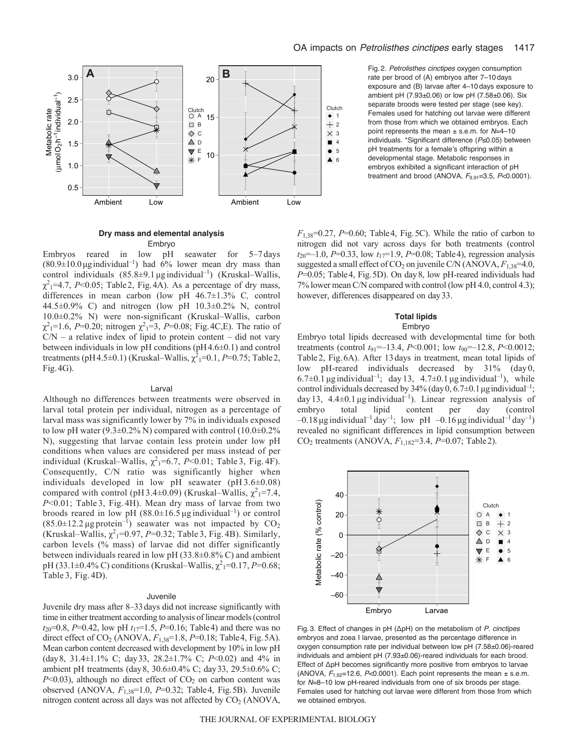

**Dry mass and elemental analysis**

Embryo

Embryos reared in low pH seawater for 5–7 days  $(80.9\pm10.0\,\mu\text{g}\text{ individual}^{-1})$  had 6% lower mean dry mass than control individuals  $(85.8\pm9.1 \,\mu g \text{ individual}^{-1})$  (Kruskal–Wallis,  $\chi^2$ <sub>1</sub>=4.7, *P*<0.05; Table2, Fig.4A). As a percentage of dry mass, differences in mean carbon (low pH 46.7±1.3% C*,* control 44.5±0.9% C) and nitrogen (low pH 10.3±0.2% N, control 10.0±0.2% N) were non-significant (Kruskal–Wallis, carbon  $\chi^2$ <sub>1</sub>=1.6, *P*=0.20; nitrogen  $\chi^2$ <sub>1</sub>=3, *P*=0.08; Fig. 4C, E). The ratio of  $C/N - a$  relative index of lipid to protein content – did not vary between individuals in low pH conditions (pH4.6±0.1) and control treatments (pH4.5±0.1) (Kruskal–Wallis,  $\chi^2$ <sub>1</sub>=0.1, *P*=0.75; Table 2, Fig.4G).

#### Larval

Although no differences between treatments were observed in larval total protein per individual, nitrogen as a percentage of larval mass was significantly lower by 7% in individuals exposed to low pH water (9.3 $\pm$ 0.2% N) compared with control (10.0 $\pm$ 0.2% N), suggesting that larvae contain less protein under low pH conditions when values are considered per mass instead of per individual (Kruskal–Wallis,  $\chi^2$ <sub>1</sub>=6.7, *P*<0.01; Table 3, Fig. 4F). Consequently, C/N ratio was significantly higher when individuals developed in low pH seawater (pH 3.6±0.08) compared with control (pH 3.4±0.09) (Kruskal–Wallis,  $\chi^2$ <sub>1</sub>=7.4, *P*<0.01; Table 3, Fig. 4H). Mean dry mass of larvae from two broods reared in low pH (88.0±16.5  $\mu$ g individual<sup>-1</sup>) or control  $(85.0\pm12.2 \,\mu g \text{ protein}^{-1})$  seawater was not impacted by  $CO<sub>2</sub>$ (Kruskal–Wallis,  $\chi^2$ <sub>1</sub>=0.97, *P*=0.32; Table 3, Fig. 4B). Similarly, carbon levels (% mass) of larvae did not differ significantly between individuals reared in low pH  $(33.8\pm0.8\% \text{ C})$  and ambient pH (33.1 $\pm$ 0.4% C) conditions (Kruskal–Wallis,  $\chi^2$ <sub>1</sub>=0.17, *P*=0.68; Table 3, Fig. 4D).

#### Juvenile

Juvenile dry mass after 8–33days did not increase significantly with time in either treatment according to analysis of linear models (control *t*20=0.8, *P*=0.42, low pH *t*17=1.5, *P*=0.16; Table4) and there was no direct effect of CO<sub>2</sub> (ANOVA,  $F_{1,38}$ =1.8, *P*=0.18; Table 4, Fig. 5A). Mean carbon content decreased with development by 10% in low pH (day8, 31.4±1.1% C; day33, 28.2±1.7% C; *P*<0.02) and 4% in ambient pH treatments (day8, 30.6±0.4% C; day33, 29.5±0.6% C;  $P<0.03$ ), although no direct effect of  $CO<sub>2</sub>$  on carbon content was observed (ANOVA, *F*1,38=1.0, *P*=0.32; Table4, Fig.5B). Juvenile nitrogen content across all days was not affected by  $CO<sub>2</sub>$  (ANOVA, Fig. 2. *Petrolisthes cinctipes* oxygen consumption rate per brood of (A) embryos after 7–10 days exposure and (B) larvae after 4–10 days exposure to ambient pH (7.93±0.06) or low pH (7.58±0.06). Six separate broods were tested per stage (see key). Females used for hatching out larvae were different from those from which we obtained embryos. Each point represents the mean ± s.e.m. for *N*=4–10 individuals. \*Significant difference (*P*≤0.05) between pH treatments for a female's offspring within a developmental stage. Metabolic responses in embryos exhibited a significant interaction of pH treatment and brood (ANOVA, *F*9,91=3.5, *P*<0.0001).

 $F_{1,38}=0.27$ , *P*=0.60; Table4, Fig. 5C). While the ratio of carbon to nitrogen did not vary across days for both treatments (control *t*20=–1.0, *P*=0.33, low *t*17=1.9, *P*=0.08; Table4), regression analysis suggested a small effect of CO<sub>2</sub> on juvenile C/N (ANOVA,  $F_{1,38}$ =4.0, *P*=0.05; Table4, Fig.5D). On day8, low pH-reared individuals had 7% lower mean C/N compared with control (low pH 4.0, control 4.3); however, differences disappeared on day33.

## **Total lipids** Embryo

Embryo total lipids decreased with developmental time for both treatments (control  $t_{91}$ =-13.4, *P*<0.001; low  $t_{90}$ =-12.8, *P*<0.0012; Table2, Fig.6A). After 13days in treatment, mean total lipids of low pH-reared individuals decreased by 31% (day 0,  $6.7\pm0.1$  μg individual<sup>-1</sup>; day 13,  $4.7\pm0.1$  μg individual<sup>-1</sup>), while control individuals decreased by  $34\%$  (day 0, 6.7 $\pm$ 0.1 µg individual<sup>-1</sup>; day 13,  $4.4\pm0.1$  µg individual<sup>-1</sup>). Linear regression analysis of embryo total lipid content per day (control  $-0.18 \,\mu$ g individual<sup>-1</sup> day<sup>-1</sup>; low pH  $-0.16 \,\mu$ g individual<sup>-1</sup> day<sup>-1</sup>) revealed no significant differences in lipid consumption between CO2 treatments (ANOVA, *F*1,182=3.4, *P*=0.07; Table2).



Fig. 3. Effect of changes in pH (ΔpH) on the metabolism of *P. cinctipes* embryos and zoea I larvae, presented as the percentage difference in oxygen consumption rate per individual between low pH (7.58±0.06)-reared individuals and ambient pH (7.93±0.06)-reared individuals for each brood. Effect of ΔpH becomes significantly more positive from embryos to larvae (ANOVA,  $F_{1,92}$ =12.6,  $P$ <0.0001). Each point represents the mean  $\pm$  s.e.m. for *N*=8–10 low pH-reared individuals from one of six broods per stage. Females used for hatching out larvae were different from those from which we obtained embryos.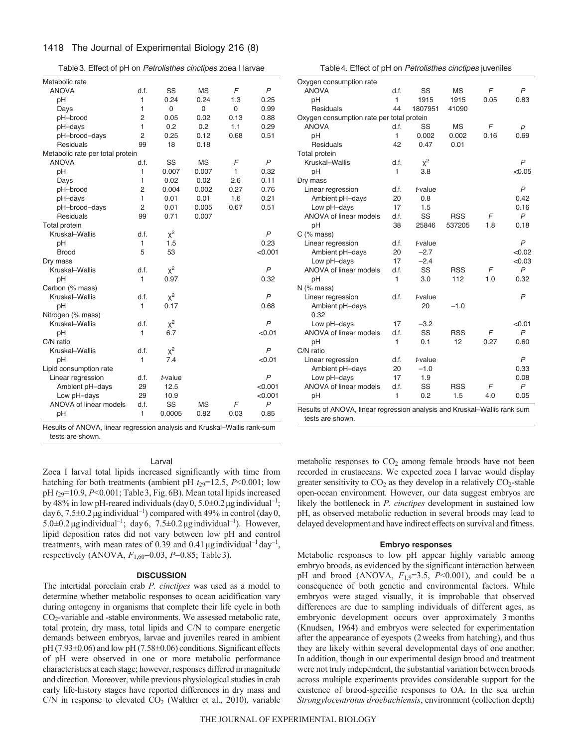## 1418 The Journal of Experimental Biology 216 (8)

| Table 3. Effect of pH on Petrolisthes cinctipes zoea I larvae |  |  |
|---------------------------------------------------------------|--|--|
|                                                               |  |  |

| Metabolic rate                   |                |          |           |      |                |
|----------------------------------|----------------|----------|-----------|------|----------------|
| <b>ANOVA</b>                     | d.f.           | SS       | ΜS        | F    | P              |
| pH                               | 1              | 0.24     | 0.24      | 1.3  | 0.25           |
| Days                             | 1              | 0        | 0         | 0    | 0.99           |
| pH-brood                         | $\overline{c}$ | 0.05     | 0.02      | 0.13 | 0.88           |
| pH-days                          | 1              | 0.2      | 0.2       | 1.1  | 0.29           |
| pH-brood-days                    | $\overline{2}$ | 0.25     | 0.12      | 0.68 | 0.51           |
| Residuals                        | 99             | 18       | 0.18      |      |                |
| Metabolic rate per total protein |                |          |           |      |                |
| <b>ANOVA</b>                     | d.f.           | SS       | <b>MS</b> | F    | $\mathsf{P}$   |
| pH                               | 1              | 0.007    | 0.007     | 1    | 0.32           |
| Days                             | 1              | 0.02     | 0.02      | 2.6  | 0.11           |
| pH-brood                         | $\overline{2}$ | 0.004    | 0.002     | 0.27 | 0.76           |
| pH-days                          | 1              | 0.01     | 0.01      | 1.6  | 0.21           |
| pH-brood-days                    | $\overline{2}$ | 0.01     | 0.005     | 0.67 | 0.51           |
| Residuals                        | 99             | 0.71     | 0.007     |      |                |
| <b>Total protein</b>             |                |          |           |      |                |
| Kruskal-Wallis                   | d.f.           | $x^2$    |           |      | P              |
| рH                               | 1              | 1.5      |           |      | 0.23           |
| <b>Brood</b>                     | 5              | 53       |           |      | < 0.001        |
| Dry mass                         |                |          |           |      |                |
| Kruskal-Wallis                   | d.f.           | $x^2$    |           |      | $\mathsf{P}$   |
| pH                               | 1              | 0.97     |           |      | 0.32           |
| Carbon (% mass)                  |                |          |           |      |                |
| Kruskal-Wallis                   | d.f.           | $\chi^2$ |           |      | P              |
| pH                               | $\mathbf{1}$   | 0.17     |           |      | 0.68           |
| Nitrogen (% mass)                |                |          |           |      |                |
| Kruskal-Wallis                   | d.f.           | $\chi^2$ |           |      | $\overline{P}$ |
| pH                               | $\mathbf{1}$   | 6.7      |           |      | < 0.01         |
| C/N ratio                        |                |          |           |      |                |
| Kruskal-Wallis                   | d.f.           | $\chi^2$ |           |      | P              |
| рH                               | 1              | 7.4      |           |      | < 0.01         |
| Lipid consumption rate           |                |          |           |      |                |
| Linear regression                | d.f.           | t-value  |           |      | $\overline{P}$ |
| Ambient pH-days                  | 29             | 12.5     |           |      | < 0.001        |
| Low pH-days                      | 29             | 10.9     |           |      | < 0.001        |
| ANOVA of linear models           | d.f.           | SS       | ΜS        | F    | P              |
| pH                               | $\mathbf{1}$   | 0.0005   | 0.82      | 0.03 | 0.85           |
|                                  |                |          |           |      |                |

Results of ANOVA, linear regression analysis and Kruskal–Wallis rank-sum tests are shown.

| Table 4. Effect of pH on <i>Petrolisthes cinctipes</i> juveniles |
|------------------------------------------------------------------|
|------------------------------------------------------------------|

| Oxygen consumption rate                                                  |              |         |            |            |                |
|--------------------------------------------------------------------------|--------------|---------|------------|------------|----------------|
| <b>ANOVA</b>                                                             | d.f.         | SS      | <b>MS</b>  | F          | P              |
| pH                                                                       | 1            | 1915    | 1915       | 0.05       | 0.83           |
| Residuals                                                                | 44           | 1807951 | 41090      |            |                |
| Oxygen consumption rate per total protein                                |              |         |            |            |                |
| <b>ANOVA</b>                                                             | d.f.         | SS      | <b>MS</b>  | $\sqrt{2}$ | p              |
| pH                                                                       | $\mathbf{1}$ | 0.002   | 0.002      | 0.16       | 0.69           |
| Residuals                                                                | 42           | 0.47    | 0.01       |            |                |
| Total protein                                                            |              |         |            |            |                |
| Kruskal-Wallis                                                           | d.f.         | $x^2$   |            |            | $\mathsf{P}$   |
| pH                                                                       | 1            | 3.8     |            |            | < 0.05         |
| Dry mass                                                                 |              |         |            |            |                |
| Linear regression                                                        | d.f.         | t-value |            |            | $\overline{P}$ |
| Ambient pH-days                                                          | 20           | 0.8     |            |            | 0.42           |
| Low pH-days                                                              | 17           | 1.5     |            |            | 0.16           |
| ANOVA of linear models                                                   | d.f.         | SS      | <b>RSS</b> | F          | P              |
| pH                                                                       | 38           | 25846   | 537205     | 1.8        | 0.18           |
| $C$ (% mass)                                                             |              |         |            |            |                |
| Linear regression                                                        | d.f.         | t-value |            |            | $\overline{P}$ |
| Ambient pH-days                                                          | 20           | $-2.7$  |            |            | < 0.02         |
| Low pH-days                                                              | 17           | $-2.4$  |            |            | < 0.03         |
| ANOVA of linear models                                                   | d.f.         | SS      | <b>RSS</b> | F          | $\mathsf{P}$   |
| pH                                                                       | 1            | 3.0     | 112        | 1.0        | 0.32           |
| $N$ (% mass)                                                             |              |         |            |            |                |
| Linear regression                                                        | d.f.         | t-value |            |            | $\overline{P}$ |
| Ambient pH-days                                                          |              | 20      | $-1.0$     |            |                |
| 0.32                                                                     |              |         |            |            |                |
| Low pH-days                                                              | 17           | $-3.2$  |            |            | < 0.01         |
| ANOVA of linear models                                                   | d.f.         | SS      | <b>RSS</b> | F          | $\overline{P}$ |
| pH                                                                       | 1            | 0.1     | 12         | 0.27       | 0.60           |
| C/N ratio                                                                |              |         |            |            |                |
| Linear regression                                                        | d.f.         | t-value |            |            | $\mathsf{P}$   |
| Ambient pH-days                                                          | 20           | $-1.0$  |            |            | 0.33           |
| Low pH-days                                                              | 17           | 1.9     |            |            | 0.08           |
| ANOVA of linear models                                                   | d.f.         | SS      | <b>RSS</b> | F          | $\mathsf{P}$   |
| pH                                                                       | 1            | 0.2     | 1.5        | 4.0        | 0.05           |
| Boouth of ANOVA, linear regression applying and Knuskel, Wallie rapk sum |              |         |            |            |                |

Results of ANOVA, linear regression analysis and Kruskal–Wallis rank sum tests are shown.

#### Larval

Zoea I larval total lipids increased significantly with time from hatching for both treatments (ambient pH  $t_{29}$ =12.5, *P*<0.001; low pH *t*29=10.9, *P*<0.001; Table3, Fig.6B). Mean total lipids increased by 48% in low pH-reared individuals (day 0,  $5.0\pm 0.2$  µg individual<sup>-1</sup>; day 6,  $7.5\pm0.2$  µg individual<sup>-1</sup>) compared with 49% in control (day 0, 5.0 $\pm$ 0.2 μg individual<sup>-1</sup>; day 6, 7.5 $\pm$ 0.2 μg individual<sup>-1</sup>). However, lipid deposition rates did not vary between low pH and control treatments, with mean rates of 0.39 and 0.41  $\mu$ g individual<sup>-1</sup> day<sup>-1</sup>, respectively (ANOVA, *F*1,60=0.03, *P*=0.85; Table3).

### **DISCUSSION**

The intertidal porcelain crab *P. cinctipes* was used as a model to determine whether metabolic responses to ocean acidification vary during ontogeny in organisms that complete their life cycle in both CO2-variable and -stable environments. We assessed metabolic rate, total protein, dry mass, total lipids and C/N to compare energetic demands between embryos, larvae and juveniles reared in ambient pH (7.93±0.06) and low pH (7.58±0.06) conditions. Significant effects of pH were observed in one or more metabolic performance characteristics at each stage; however, responses differed in magnitude and direction. Moreover, while previous physiological studies in crab early life-history stages have reported differences in dry mass and C/N in response to elevated  $CO<sub>2</sub>$  (Walther et al., 2010), variable metabolic responses to  $CO<sub>2</sub>$  among female broods have not been recorded in crustaceans. We expected zoea I larvae would display greater sensitivity to  $CO<sub>2</sub>$  as they develop in a relatively  $CO<sub>2</sub>$ -stable open-ocean environment. However, our data suggest embryos are likely the bottleneck in *P. cinctipes* development in sustained low pH, as observed metabolic reduction in several broods may lead to delayed development and have indirect effects on survival and fitness.

### **Embryo responses**

Metabolic responses to low pH appear highly variable among embryo broods, as evidenced by the significant interaction between pH and brood (ANOVA,  $F_{1,9}=3.5$ ,  $P<0.001$ ), and could be a consequence of both genetic and environmental factors. While embryos were staged visually, it is improbable that observed differences are due to sampling individuals of different ages, as embryonic development occurs over approximately 3months (Knudsen, 1964) and embryos were selected for experimentation after the appearance of eyespots (2weeks from hatching), and thus they are likely within several developmental days of one another. In addition, though in our experimental design brood and treatment were not truly independent, the substantial variation between broods across multiple experiments provides considerable support for the existence of brood-specific responses to OA. In the sea urchin *Strongylocentrotus droebachiensis*, environment (collection depth)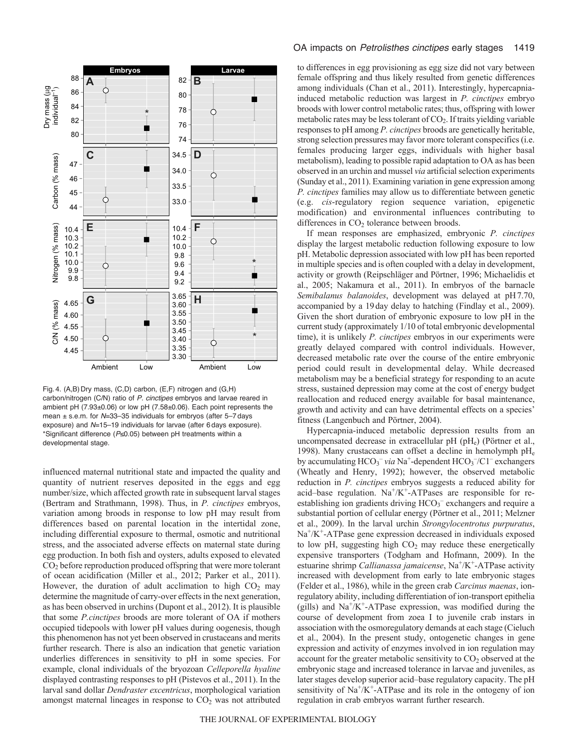

Fig. 4. (A,B) Dry mass, (C,D) carbon, (E,F) nitrogen and (G,H) carbon/nitrogen (C/N) ratio of *P. cinctipes* embryos and larvae reared in ambient pH (7.93±0.06) or low pH (7.58±0.06). Each point represents the mean ± s.e.m. for *N*=33–35 individuals for embryos (after 5–7 days exposure) and *N*=15–19 individuals for larvae (after 6 days exposure). \*Significant difference (*P*≤0.05) between pH treatments within a developmental stage.

influenced maternal nutritional state and impacted the quality and quantity of nutrient reserves deposited in the eggs and egg number/size, which affected growth rate in subsequent larval stages (Bertram and Strathmann, 1998). Thus, in *P. cinctipes* embryos, variation among broods in response to low pH may result from differences based on parental location in the intertidal zone, including differential exposure to thermal, osmotic and nutritional stress, and the associated adverse effects on maternal state during egg production. In both fish and oysters, adults exposed to elevated CO2 before reproduction produced offspring that were more tolerant of ocean acidification (Miller et al., 2012; Parker et al., 2011). However, the duration of adult acclimation to high  $CO<sub>2</sub>$  may determine the magnitude of carry-over effects in the next generation, as has been observed in urchins (Dupont et al., 2012). It is plausible that some *P.cinctipes* broods are more tolerant of OA if mothers occupied tidepools with lower pH values during oogenesis, though this phenomenon has not yet been observed in crustaceans and merits further research. There is also an indication that genetic variation underlies differences in sensitivity to pH in some species. For example, clonal individuals of the bryozoan *Celleporella hyaline* displayed contrasting responses to pH (Pistevos et al., 2011). In the larval sand dollar *Dendraster excentricus*, morphological variation amongst maternal lineages in response to  $CO<sub>2</sub>$  was not attributed to differences in egg provisioning as egg size did not vary between female offspring and thus likely resulted from genetic differences among individuals (Chan et al., 2011). Interestingly, hypercapniainduced metabolic reduction was largest in *P. cinctipes* embryo broods with lower control metabolic rates; thus, offspring with lower metabolic rates may be less tolerant of  $CO<sub>2</sub>$ . If traits yielding variable responses to pH among *P. cinctipes* broods are genetically heritable, strong selection pressures may favor more tolerant conspecifics (i.e. females producing larger eggs, individuals with higher basal metabolism), leading to possible rapid adaptation to OA as has been observed in an urchin and mussel *via* artificial selection experiments (Sunday et al., 2011). Examining variation in gene expression among *P. cinctipes* families may allow us to differentiate between genetic (e.g. *cis*-regulatory region sequence variation, epigenetic modification) and environmental influences contributing to differences in CO<sub>2</sub> tolerance between broods.

If mean responses are emphasized, embryonic *P. cinctipes* display the largest metabolic reduction following exposure to low pH. Metabolic depression associated with low pH has been reported in multiple species and is often coupled with a delay in development, activity or growth (Reipschläger and Pörtner, 1996; Michaelidis et al., 2005; Nakamura et al., 2011). In embryos of the barnacle *Semibalanus balanoides*, development was delayed at pH7.70, accompanied by a 19day delay to hatching (Findlay et al., 2009). Given the short duration of embryonic exposure to low pH in the current study (approximately 1/10 of total embryonic developmental time), it is unlikely *P. cinctipes* embryos in our experiments were greatly delayed compared with control individuals. However, decreased metabolic rate over the course of the entire embryonic period could result in developmental delay. While decreased metabolism may be a beneficial strategy for responding to an acute stress, sustained depression may come at the cost of energy budget reallocation and reduced energy available for basal maintenance, growth and activity and can have detrimental effects on a species' fitness (Langenbuch and Pörtner, 2004).

Hypercapnia-induced metabolic depression results from an uncompensated decrease in extracellular  $pH$  ( $pH<sub>e</sub>$ ) (Pörtner et al., 1998). Many crustaceans can offset a decline in hemolymph  $pH_e$ by accumulating HCO<sub>3</sub><sup>-</sup> via Na<sup>+</sup>-dependent HCO<sub>3</sub><sup>-</sup>/C1<sup>-</sup> exchangers (Wheatly and Henry, 1992); however, the observed metabolic reduction in *P. cinctipes* embryos suggests a reduced ability for acid–base regulation.  $Na^+/K^+$ -ATPases are responsible for reestablishing ion gradients driving HCO<sub>3</sub><sup>-</sup> exchangers and require a substantial portion of cellular energy (Pörtner et al., 2011; Melzner et al., 2009). In the larval urchin *Strongylocentrotus purpuratus*,  $Na<sup>+</sup>/K<sup>+</sup>-ATPase$  gene expression decreased in individuals exposed to low pH, suggesting high  $CO<sub>2</sub>$  may reduce these energetically expensive transporters (Todgham and Hofmann, 2009). In the estuarine shrimp *Callianassa jamaicense*, Na+/K+-ATPase activity increased with development from early to late embryonic stages (Felder et al., 1986), while in the green crab *Carcinus maenas*, ionregulatory ability, including differentiation of ion-transport epithelia (gills) and  $Na^+/K^+$ -ATPase expression, was modified during the course of development from zoea I to juvenile crab instars in association with the osmoregulatory demands at each stage (Cieluch et al., 2004). In the present study, ontogenetic changes in gene expression and activity of enzymes involved in ion regulation may account for the greater metabolic sensitivity to  $CO<sub>2</sub>$  observed at the embryonic stage and increased tolerance in larvae and juveniles, as later stages develop superior acid–base regulatory capacity. The pH sensitivity of  $Na^+/K^+$ -ATPase and its role in the ontogeny of ion regulation in crab embryos warrant further research.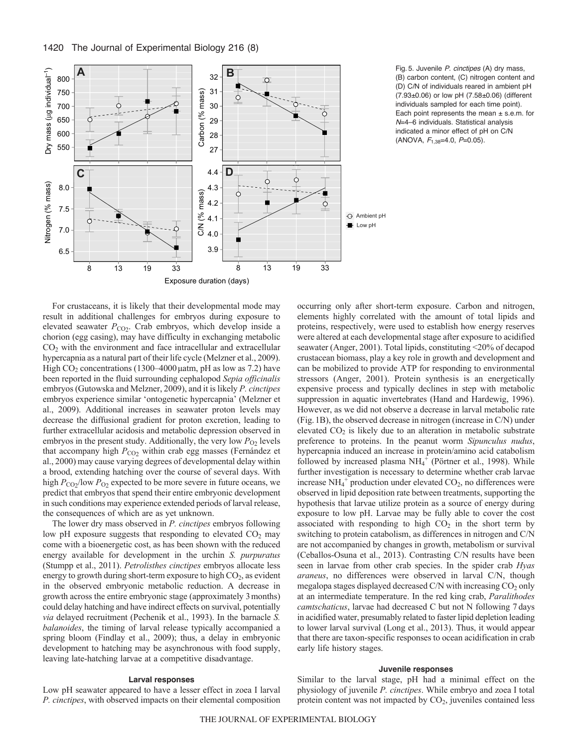

Fig. 5. Juvenile *P*. *cinctipes* (A) dry mass, (B) carbon content, (C) nitrogen content and (D) C/N of individuals reared in ambient pH (7.93±0.06) or low pH (7.58±0.06) (different individuals sampled for each time point). Each point represents the mean  $\pm$  s.e.m. for *N*=4–6 individuals. Statistical analysis indicated a minor effect of pH on C/N (ANOVA, *F*1,38=4.0, *P*=0.05).

For crustaceans, it is likely that their developmental mode may result in additional challenges for embryos during exposure to elevated seawater *P*<sub>CO2</sub>. Crab embryos, which develop inside a chorion (egg casing), may have difficulty in exchanging metabolic CO2 with the environment and face intracellular and extracellular hypercapnia as a natural part of their life cycle (Melzner et al., 2009). High  $CO_2$  concentrations (1300–4000 µatm, pH as low as 7.2) have been reported in the fluid surrounding cephalopod *Sepia officinalis* embryos (Gutowska and Melzner, 2009), and it is likely *P. cinctipes* embryos experience similar 'ontogenetic hypercapnia' (Melzner et al., 2009). Additional increases in seawater proton levels may decrease the diffusional gradient for proton excretion, leading to further extracellular acidosis and metabolic depression observed in embryos in the present study. Additionally, the very low  $P<sub>O2</sub>$  levels that accompany high  $P_{CO2}$  within crab egg masses (Fernández et al., 2000) may cause varying degrees of developmental delay within a brood, extending hatching over the course of several days. With high  $P_{CO2}/\text{low } P_{O2}$  expected to be more severe in future oceans, we predict that embryos that spend their entire embryonic development in such conditions may experience extended periods of larval release, the consequences of which are as yet unknown.

The lower dry mass observed in *P. cinctipes* embryos following low pH exposure suggests that responding to elevated  $CO<sub>2</sub>$  may come with a bioenergetic cost, as has been shown with the reduced energy available for development in the urchin *S. purpuratus* (Stumpp et al., 2011). *Petrolisthes cinctipes* embryos allocate less energy to growth during short-term exposure to high  $CO<sub>2</sub>$ , as evident in the observed embryonic metabolic reduction. A decrease in growth across the entire embryonic stage (approximately 3months) could delay hatching and have indirect effects on survival, potentially *via* delayed recruitment (Pechenik et al., 1993). In the barnacle *S. balanoides*, the timing of larval release typically accompanied a spring bloom (Findlay et al., 2009); thus, a delay in embryonic development to hatching may be asynchronous with food supply, leaving late-hatching larvae at a competitive disadvantage.

## **Larval responses**

Low pH seawater appeared to have a lesser effect in zoea I larval *P. cinctipes*, with observed impacts on their elemental composition occurring only after short-term exposure. Carbon and nitrogen, elements highly correlated with the amount of total lipids and proteins, respectively, were used to establish how energy reserves were altered at each developmental stage after exposure to acidified seawater (Anger, 2001). Total lipids, constituting <20% of decapod crustacean biomass, play a key role in growth and development and can be mobilized to provide ATP for responding to environmental stressors (Anger, 2001). Protein synthesis is an energetically expensive process and typically declines in step with metabolic suppression in aquatic invertebrates (Hand and Hardewig, 1996). However, as we did not observe a decrease in larval metabolic rate (Fig.1B), the observed decrease in nitrogen (increase in C/N) under elevated  $CO<sub>2</sub>$  is likely due to an alteration in metabolic substrate preference to proteins. In the peanut worm *Sipunculus nudus*, hypercapnia induced an increase in protein/amino acid catabolism followed by increased plasma  $NH_4$ <sup>+</sup> (Pörtner et al., 1998). While further investigation is necessary to determine whether crab larvae increase  $NH_4^+$  production under elevated  $CO_2$ , no differences were observed in lipid deposition rate between treatments, supporting the hypothesis that larvae utilize protein as a source of energy during exposure to low pH. Larvae may be fully able to cover the cost associated with responding to high  $CO<sub>2</sub>$  in the short term by switching to protein catabolism, as differences in nitrogen and C/N are not accompanied by changes in growth, metabolism or survival (Ceballos-Osuna et al., 2013). Contrasting C/N results have been seen in larvae from other crab species. In the spider crab *Hyas araneus*, no differences were observed in larval C/N, though megalopa stages displayed decreased C/N with increasing  $CO<sub>2</sub>$  only at an intermediate temperature. In the red king crab, *Paralithodes camtschaticus*, larvae had decreased C but not N following 7 days in acidified water, presumably related to faster lipid depletion leading to lower larval survival (Long et al., 2013). Thus, it would appear that there are taxon-specific responses to ocean acidification in crab early life history stages.

#### **Juvenile responses**

Similar to the larval stage, pH had a minimal effect on the physiology of juvenile *P. cinctipes*. While embryo and zoea I total protein content was not impacted by CO<sub>2</sub>, juveniles contained less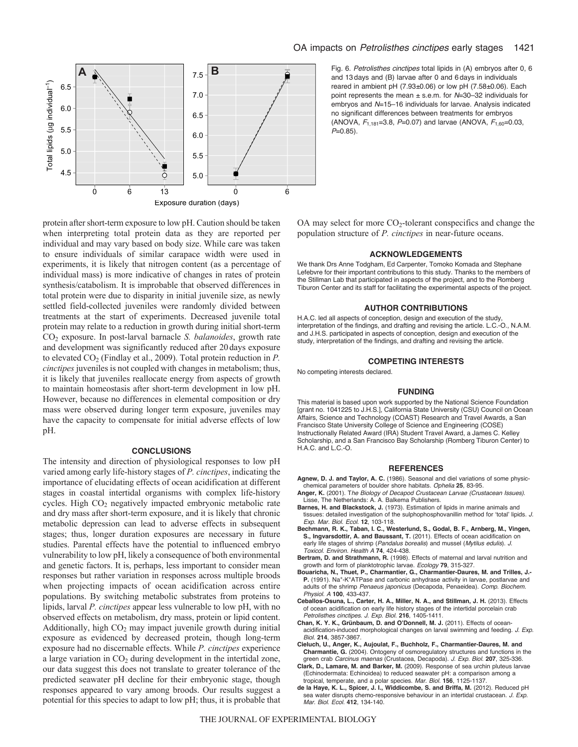

protein after short-term exposure to low pH. Caution should be taken when interpreting total protein data as they are reported per individual and may vary based on body size. While care was taken to ensure individuals of similar carapace width were used in experiments, it is likely that nitrogen content (as a percentage of individual mass) is more indicative of changes in rates of protein synthesis/catabolism. It is improbable that observed differences in total protein were due to disparity in initial juvenile size, as newly settled field-collected juveniles were randomly divided between treatments at the start of experiments. Decreased juvenile total protein may relate to a reduction in growth during initial short-term CO2 exposure. In post-larval barnacle *S. balanoides*, growth rate and development was significantly reduced after 20days exposure to elevated CO2 (Findlay et al., 2009). Total protein reduction in *P. cinctipes* juveniles is not coupled with changes in metabolism; thus, it is likely that juveniles reallocate energy from aspects of growth to maintain homeostasis after short-term development in low pH. However, because no differences in elemental composition or dry mass were observed during longer term exposure, juveniles may have the capacity to compensate for initial adverse effects of low pH.

## **CONCLUSIONS**

The intensity and direction of physiological responses to low pH varied among early life-history stages of *P. cinctipes*, indicating the importance of elucidating effects of ocean acidification at different stages in coastal intertidal organisms with complex life-history cycles. High CO<sub>2</sub> negatively impacted embryonic metabolic rate and dry mass after short-term exposure, and it is likely that chronic metabolic depression can lead to adverse effects in subsequent stages; thus, longer duration exposures are necessary in future studies. Parental effects have the potential to influenced embryo vulnerability to low pH, likely a consequence of both environmental and genetic factors. It is, perhaps, less important to consider mean responses but rather variation in responses across multiple broods when projecting impacts of ocean acidification across entire populations. By switching metabolic substrates from proteins to lipids, larval *P. cinctipes* appear less vulnerable to low pH, with no observed effects on metabolism, dry mass, protein or lipid content. Additionally, high CO<sub>2</sub> may impact juvenile growth during initial exposure as evidenced by decreased protein, though long-term exposure had no discernable effects. While *P. cinctipes* experience a large variation in  $CO<sub>2</sub>$  during development in the intertidal zone, our data suggest this does not translate to greater tolerance of the predicted seawater pH decline for their embryonic stage, though responses appeared to vary among broods. Our results suggest a potential for this species to adapt to low pH; thus, it is probable that

Fig. 6. *Petrolisthes cinctipes* total lipids in (A) embryos after 0, 6 and 13 days and (B) larvae after 0 and 6 days in individuals reared in ambient pH (7.93±0.06) or low pH (7.58±0.06). Each point represents the mean ± s.e.m. for *N*=30–32 individuals for embryos and *N*=15–16 individuals for larvae. Analysis indicated no significant differences between treatments for embryos (ANOVA, *F*1,181=3.8, *P*=0.07) and larvae (ANOVA, *F*1,60=0.03, *P*=0.85).

OA may select for more CO2-tolerant conspecifics and change the population structure of *P. cinctipes* in near-future oceans.

### **ACKNOWLEDGEMENTS**

We thank Drs Anne Todgham, Ed Carpenter, Tomoko Komada and Stephane Lefebvre for their important contributions to this study. Thanks to the members of the Stillman Lab that participated in aspects of the project, and to the Romberg Tiburon Center and its staff for facilitating the experimental aspects of the project.

#### **AUTHOR CONTRIBUTIONS**

H.A.C. led all aspects of conception, design and execution of the study, interpretation of the findings, and drafting and revising the article. L.C.-O., N.A.M. and J.H.S. participated in aspects of conception, design and execution of the study, interpretation of the findings, and drafting and revising the article.

#### **COMPETING INTERESTS**

No competing interests declared.

#### **FUNDING**

This material is based upon work supported by the National Science Foundation [grant no. 1041225 to J.H.S.], California State University (CSU) Council on Ocean Affairs, Science and Technology (COAST) Research and Travel Awards, a San Francisco State University College of Science and Engineering (COSE) Instructionally Related Award (IRA) Student Travel Award, a James C. Kelley Scholarship, and a San Francisco Bay Scholarship (Romberg Tiburon Center) to H.A.C. and L.C.-O.

#### **REFERENCES**

- **Agnew, D. J. and Taylor, A. C.** (1986). Seasonal and diel variations of some physicchemical parameters of boulder shore habitats. *Ophelia* **25**, 83-95.
- **Anger, K.** (2001). T*he Biology of Decapod Crustacean Larvae (Crustacean Issues)*. Lisse, The Netherlands: A. A. Balkema Publishers.
- **Barnes, H. and Blackstock, J.** (1973). Estimation of lipids in marine animals and tissues: detailed investigation of the sulphophosphovanillin method for ʻtotal' lipids. *J. Exp. Mar. Biol. Ecol.* **12**, 103-118.
- **Bechmann, R. K., Taban, I. C., Westerlund, S., Godal, B. F., Arnberg, M., Vingen, S., Ingvarsdottir, A. and Baussant, T.** (2011). Effects of ocean acidification on early life stages of shrimp (*Pandalus borealis*) and mussel (*Mytilus edulis*). *J. Toxicol. Environ. Health A* **74**, 424-438.
- **Bertram, D. and Strathmann, R.** (1998). Effects of maternal and larval nutrition and growth and form of planktotrophic larvae. *Ecology* **79**, 315-327.
- **Bouaricha, N., Thuet, P., Charmantier, G., Charmantier-Daures, M. and Trilles, J.- P.** (1991). Na<sup>+</sup>-K<sup>+</sup>ATPase and carbonic anhydrase activity in larvae, postlarvae and adults of the shrimp *Penaeus japonicus* (Decapoda, Penaeidea). *Comp. Biochem. Physiol. A* **100**, 433-437.
- **Ceballos-Osuna, L., Carter, H. A., Miller, N. A., and Stillman, J. H.** (2013). Effects of ocean acidification on early life history stages of the intertidal porcelain crab *Petrolisthes cinctipes*. *J. Exp. Biol.* **216**, 1405-1411*.*
- **Chan, K. Y. K., Grünbaum, D. and O'Donnell, M. J.** (2011). Effects of oceanacidification-induced morphological changes on larval swimming and feeding. *J. Exp. Biol.* **214**, 3857-3867.
- **Cieluch, U., Anger, K., Aujoulat, F., Buchholz, F., Charmantier-Daures, M. and Charmantie, G.** (2004). Ontogeny of osmoregulatory structures and functions in the green crab *Carcinus maenas* (Crustacea, Decapoda). *J. Exp. Biol.* **207**, 325-336.
- **Clark, D., Lamare, M. and Barker, M.** (2009). Response of sea urchin pluteus larvae (Echinodermata: Echinoidea) to reduced seawater pH: a comparison among a tropical, temperate, and a polar species. *Mar. Biol.* **156**, 1125-1137.
- **de la Haye, K. L., Spicer, J. I., Widdicombe, S. and Briffa, M.** (2012). Reduced pH sea water disrupts chemo-responsive behaviour in an intertidal crustacean. *J. Exp. Mar. Biol. Ecol.* **412**, 134-140.